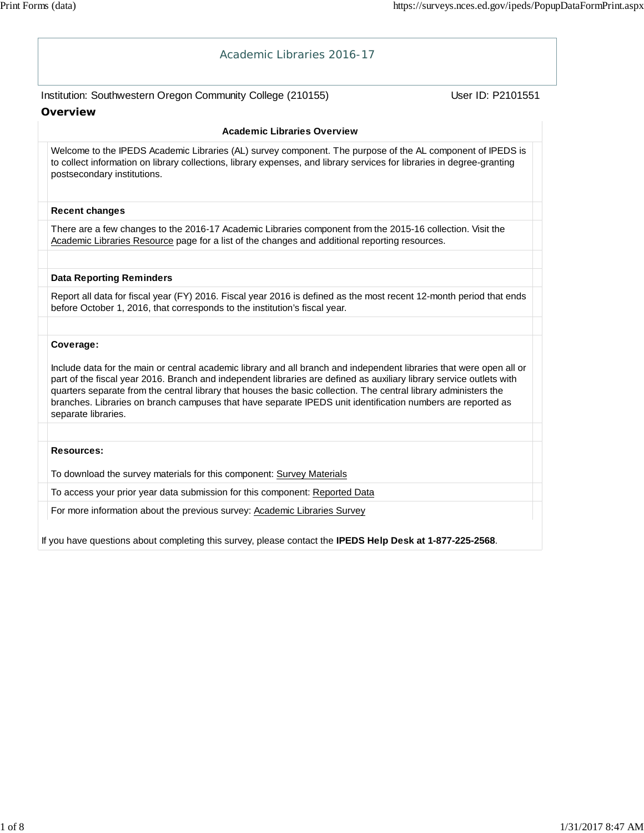| Academic Libraries 2016-17                                                                                                                                                                                                                                                                                                                                                                                                                                                                             |                   |
|--------------------------------------------------------------------------------------------------------------------------------------------------------------------------------------------------------------------------------------------------------------------------------------------------------------------------------------------------------------------------------------------------------------------------------------------------------------------------------------------------------|-------------------|
| Institution: Southwestern Oregon Community College (210155)                                                                                                                                                                                                                                                                                                                                                                                                                                            | User ID: P2101551 |
| <b>Overview</b>                                                                                                                                                                                                                                                                                                                                                                                                                                                                                        |                   |
| <b>Academic Libraries Overview</b>                                                                                                                                                                                                                                                                                                                                                                                                                                                                     |                   |
| Welcome to the IPEDS Academic Libraries (AL) survey component. The purpose of the AL component of IPEDS is<br>to collect information on library collections, library expenses, and library services for libraries in degree-granting<br>postsecondary institutions.                                                                                                                                                                                                                                    |                   |
| <b>Recent changes</b>                                                                                                                                                                                                                                                                                                                                                                                                                                                                                  |                   |
| There are a few changes to the 2016-17 Academic Libraries component from the 2015-16 collection. Visit the<br>Academic Libraries Resource page for a list of the changes and additional reporting resources.                                                                                                                                                                                                                                                                                           |                   |
| <b>Data Reporting Reminders</b>                                                                                                                                                                                                                                                                                                                                                                                                                                                                        |                   |
| Report all data for fiscal year (FY) 2016. Fiscal year 2016 is defined as the most recent 12-month period that ends<br>before October 1, 2016, that corresponds to the institution's fiscal year.                                                                                                                                                                                                                                                                                                      |                   |
| Coverage:                                                                                                                                                                                                                                                                                                                                                                                                                                                                                              |                   |
| Include data for the main or central academic library and all branch and independent libraries that were open all or<br>part of the fiscal year 2016. Branch and independent libraries are defined as auxiliary library service outlets with<br>quarters separate from the central library that houses the basic collection. The central library administers the<br>branches. Libraries on branch campuses that have separate IPEDS unit identification numbers are reported as<br>separate libraries. |                   |
|                                                                                                                                                                                                                                                                                                                                                                                                                                                                                                        |                   |
| <b>Resources:</b>                                                                                                                                                                                                                                                                                                                                                                                                                                                                                      |                   |
| To download the survey materials for this component: Survey Materials                                                                                                                                                                                                                                                                                                                                                                                                                                  |                   |
| To access your prior year data submission for this component: Reported Data                                                                                                                                                                                                                                                                                                                                                                                                                            |                   |
| For more information about the previous survey: Academic Libraries Survey                                                                                                                                                                                                                                                                                                                                                                                                                              |                   |
| If you have questions about completing this survey, please contact the IPEDS Help Desk at 1-877-225-2568.                                                                                                                                                                                                                                                                                                                                                                                              |                   |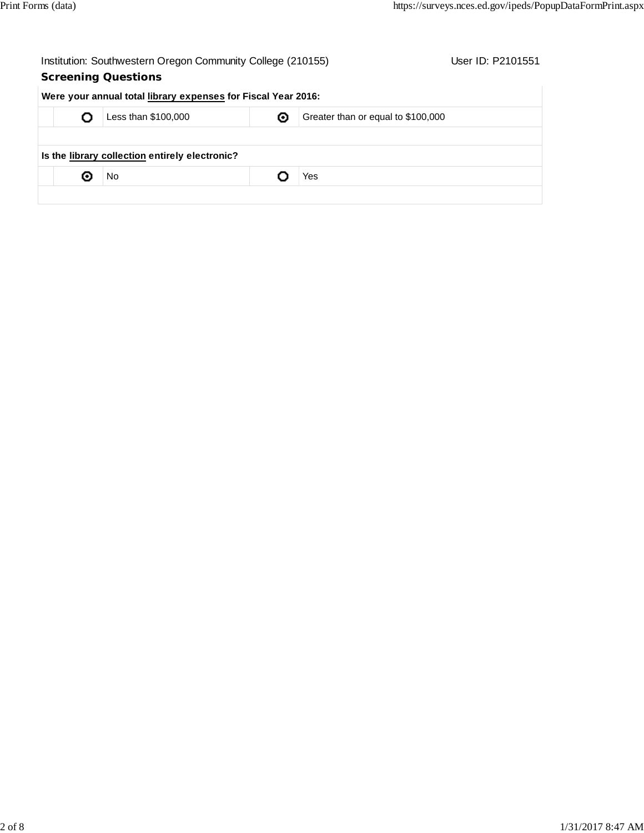| Institution: Southwestern Oregon Community College (210155) |  |
|-------------------------------------------------------------|--|
|-------------------------------------------------------------|--|

## **Screening Questions**

User ID: P2101551

| Less than \$100,000                            | ◉ | Greater than or equal to \$100,000 |
|------------------------------------------------|---|------------------------------------|
| Is the library collection entirely electronic? |   |                                    |
| No                                             |   | Yes                                |
|                                                |   |                                    |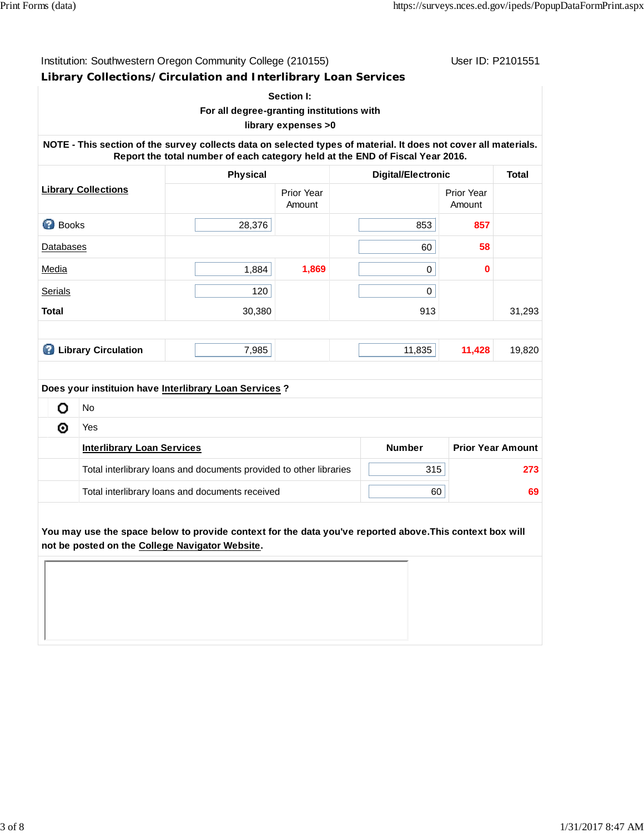Institution: Southwestern Oregon Community College (210155) User ID: P2101551

**Library Collections/Circulation and Interlibrary Loan Services**

#### **Section I: For all degree-granting institutions with**

## **library expenses >0**

**NOTE - This section of the survey collects data on selected types of material. It does not cover all materials. Report the total number of each category held at the END of Fiscal Year 2016.**

|                   |                            | Physical                                               |                      | <b>Digital/Electronic</b> |                      | <b>Total</b> |
|-------------------|----------------------------|--------------------------------------------------------|----------------------|---------------------------|----------------------|--------------|
|                   | <b>Library Collections</b> |                                                        | Prior Year<br>Amount |                           | Prior Year<br>Amount |              |
| Ø<br><b>Books</b> |                            | 28,376                                                 |                      | 853                       | 857                  |              |
| Databases         |                            |                                                        |                      | 60                        | 58                   |              |
| Media             |                            | 1,884                                                  | 1,869                | 0                         | $\mathbf 0$          |              |
| <b>Serials</b>    |                            | 120                                                    |                      | 0                         |                      |              |
| <b>Total</b>      |                            | 30,380                                                 |                      | 913                       |                      | 31,293       |
|                   |                            |                                                        |                      |                           |                      |              |
| B                 | <b>Library Circulation</b> | 7,985                                                  |                      | 11,835                    | 11,428               | 19,820       |
|                   |                            |                                                        |                      |                           |                      |              |
|                   |                            | Does your instituion have Interlibrary Loan Services ? |                      |                           |                      |              |
| o                 | No                         |                                                        |                      |                           |                      |              |
| ⊚                 | Yes                        |                                                        |                      |                           |                      |              |

| <b>Interlibrary Loan Services</b>                                  | <b>Number</b> | <b>Prior Year Amount</b> |
|--------------------------------------------------------------------|---------------|--------------------------|
| Total interlibrary loans and documents provided to other libraries | 315           | 273                      |
| Total interlibrary loans and documents received                    | 60            | 69                       |

**You may use the space below to provide context for the data you've reported above.This context box will not be posted on the College Navigator Website.**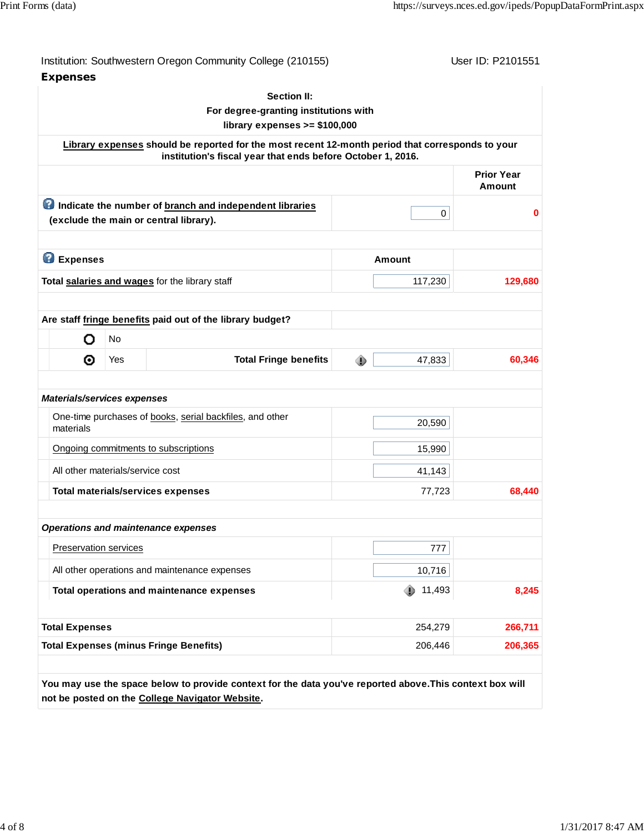| <b>Expenses</b>                          |           | Institution: Southwestern Oregon Community College (210155)                                                                                                     |   |             | User ID: P2101551                  |
|------------------------------------------|-----------|-----------------------------------------------------------------------------------------------------------------------------------------------------------------|---|-------------|------------------------------------|
|                                          |           | <b>Section II:</b><br>For degree-granting institutions with                                                                                                     |   |             |                                    |
|                                          |           | library expenses $>= $100,000$                                                                                                                                  |   |             |                                    |
|                                          |           | Library expenses should be reported for the most recent 12-month period that corresponds to your<br>institution's fiscal year that ends before October 1, 2016. |   |             |                                    |
|                                          |           |                                                                                                                                                                 |   |             | <b>Prior Year</b><br><b>Amount</b> |
|                                          |           | Indicate the number of branch and independent libraries<br>(exclude the main or central library).                                                               |   | 0           | $\bf{0}$                           |
| <b>B</b> Expenses                        |           |                                                                                                                                                                 |   | Amount      |                                    |
|                                          |           | Total salaries and wages for the library staff                                                                                                                  |   | 117,230     | 129,680                            |
|                                          |           |                                                                                                                                                                 |   |             |                                    |
| o                                        | <b>No</b> | Are staff fringe benefits paid out of the library budget?                                                                                                       |   |             |                                    |
| ⊙                                        | Yes       | <b>Total Fringe benefits</b>                                                                                                                                    | ⊕ | 47,833      | 60,346                             |
|                                          |           |                                                                                                                                                                 |   |             |                                    |
| Materials/services expenses<br>materials |           | One-time purchases of books, serial backfiles, and other                                                                                                        |   | 20,590      |                                    |
|                                          |           | Ongoing commitments to subscriptions                                                                                                                            |   | 15,990      |                                    |
| All other materials/service cost         |           |                                                                                                                                                                 |   | 41,143      |                                    |
|                                          |           | <b>Total materials/services expenses</b>                                                                                                                        |   | 77,723      |                                    |
|                                          |           |                                                                                                                                                                 |   |             | 68,440                             |
| <b>Preservation services</b>             |           | <b>Operations and maintenance expenses</b>                                                                                                                      |   | 777         |                                    |
|                                          |           | All other operations and maintenance expenses                                                                                                                   |   | 10,716      |                                    |
|                                          |           | Total operations and maintenance expenses                                                                                                                       |   | 11,493<br>⊕ |                                    |
| <b>Total Expenses</b>                    |           |                                                                                                                                                                 |   | 254,279     | 8,245<br>266,711                   |

**not be posted on the College Navigator Website.**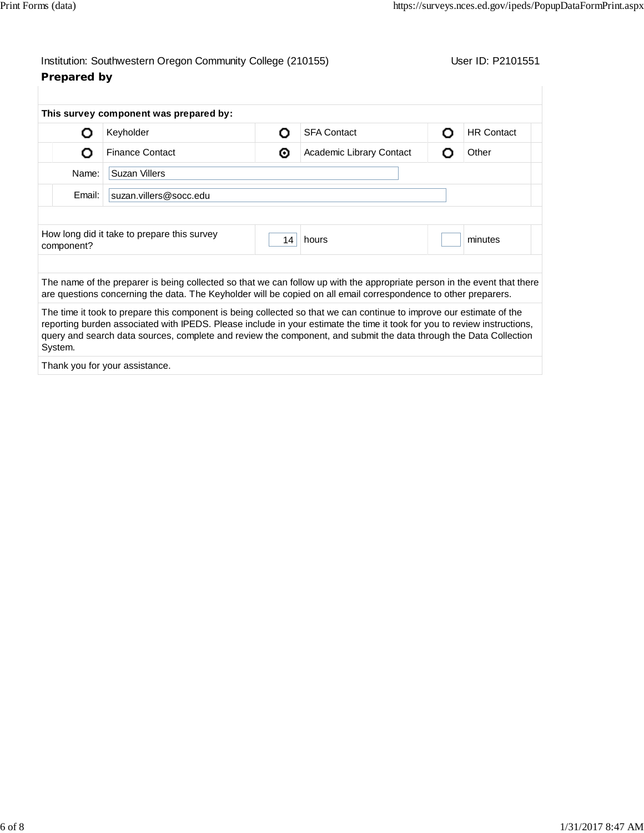## Institution: Southwestern Oregon Community College (210155) User ID: P2101551 **Prepared by**

|            | Keyholder                                   | Ω  | <b>SFA Contact</b>       | <b>HR Contact</b> |
|------------|---------------------------------------------|----|--------------------------|-------------------|
| Ο          | <b>Finance Contact</b>                      | ◉  | Academic Library Contact | Other             |
| Name:      | Suzan Villers                               |    |                          |                   |
| Email:     | suzan.villers@socc.edu                      |    |                          |                   |
|            |                                             |    |                          |                   |
| component? | How long did it take to prepare this survey | 14 | hours                    | minutes           |
|            |                                             |    |                          |                   |

The time it took to prepare this component is being collected so that we can continue to improve our estimate of the reporting burden associated with IPEDS. Please include in your estimate the time it took for you to review instructions, query and search data sources, complete and review the component, and submit the data through the Data Collection System.

Thank you for your assistance.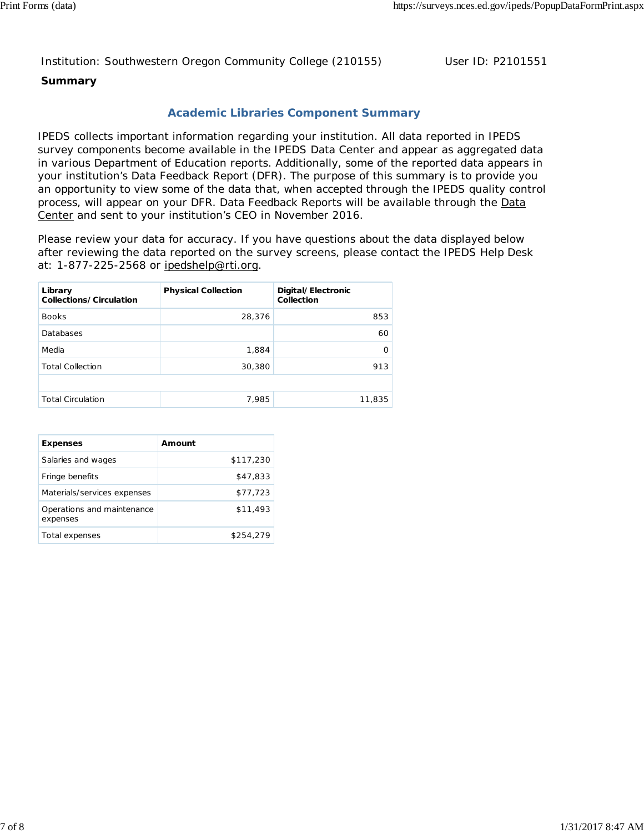#### Institution: Southwestern Oregon Community College (210155) User ID: P2101551

### **Summary**

## **Academic Libraries Component Summary**

IPEDS collects important information regarding your institution. All data reported in IPEDS survey components become available in the IPEDS Data Center and appear as aggregated data in various Department of Education reports. Additionally, some of the reported data appears in your institution's Data Feedback Report (DFR). The purpose of this summary is to provide you an opportunity to view some of the data that, when accepted through the IPEDS quality control process, will appear on your DFR. Data Feedback Reports will be available through the Data Center and sent to your institution's CEO in November 2016.

Please review your data for accuracy. If you have questions about the data displayed below after reviewing the data reported on the survey screens, please contact the IPEDS Help Desk at: 1-877-225-2568 or ipedshelp@rti.org.

| Library<br>Collections/Circulation | <b>Physical Collection</b> | Digital/Electronic<br>Collection |
|------------------------------------|----------------------------|----------------------------------|
| <b>Books</b>                       | 28,376                     | 853                              |
| Databases                          |                            | 60                               |
| Media                              | 1,884                      | 0                                |
| <b>Total Collection</b>            | 30,380                     | 913                              |
|                                    |                            |                                  |
| <b>Total Circulation</b>           | 7,985                      | 11,835                           |

| <b>Expenses</b>                        | Amount    |
|----------------------------------------|-----------|
| Salaries and wages                     | \$117,230 |
| Fringe benefits                        | \$47.833  |
| Materials/services expenses            | \$77,723  |
| Operations and maintenance<br>expenses | \$11,493  |
| Total expenses                         | \$254,279 |